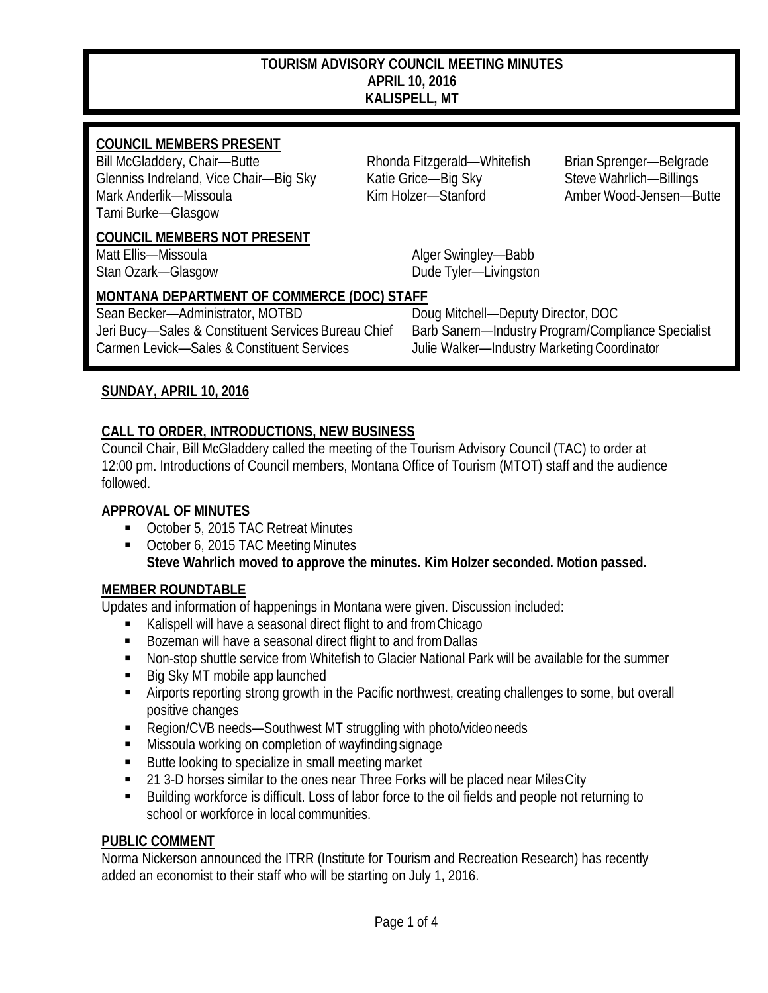#### **TOURISM ADVISORY COUNCIL MEETING MINUTES APRIL 10, 2016 KALISPELL, MT**

## **COUNCIL MEMBERS PRESENT**<br>Bill McGladdery, Chair-Butte

Glenniss Indreland, Vice Chair—Big Sky Katie Grice—Big Sky Steve Wahrlich—Billings Mark Anderlik—Missoula Kim Holzer—Stanford Amber Wood-Jensen—Butte Tami Burke—Glasgow

#### **COUNCIL MEMBERS NOT PRESENT**

Rhonda Fitzgerald—Whitefish Brian Sprenger—Belgrade

Matt Ellis—Missoula **Alger Swingley—Babb** Stan Ozark—Glasgow Dude Tyler—Livingston

# **MONTANA DEPARTMENT OF COMMERCE (DOC) STAFF**

Carmen Levick—Sales & Constituent Services Julie Walker—Industry Marketing Coordinator

Doug Mitchell—Deputy Director, DOC Jeri Bucy—Sales & Constituent Services Bureau Chief Barb Sanem—Industry Program/Compliance Specialist

## **SUNDAY, APRIL 10, 2016**

## **CALL TO ORDER, INTRODUCTIONS, NEW BUSINESS**

Council Chair, Bill McGladdery called the meeting of the Tourism Advisory Council (TAC) to order at 12:00 pm. Introductions of Council members, Montana Office of Tourism (MTOT) staff and the audience followed.

#### **APPROVAL OF MINUTES**

- October 5, 2015 TAC Retreat Minutes
- October 6, 2015 TAC Meeting Minutes **Steve Wahrlich moved to approve the minutes. Kim Holzer seconded. Motion passed.**

#### **MEMBER ROUNDTABLE**

Updates and information of happenings in Montana were given. Discussion included:

- Kalispell will have a seasonal direct flight to and fromChicago
- Bozeman will have a seasonal direct flight to and from Dallas
- **Non-stop shuttle service from Whitefish to Glacier National Park will be available for the summer**
- Big Sky MT mobile app launched
- Airports reporting strong growth in the Pacific northwest, creating challenges to some, but overall positive changes
- Region/CVB needs—Southwest MT struggling with photo/videoneeds
- Missoula working on completion of wayfinding signage
- Butte looking to specialize in small meeting market
- 21 3-D horses similar to the ones near Three Forks will be placed near Miles City
- Building workforce is difficult. Loss of labor force to the oil fields and people not returning to school or workforce in local communities.

#### **PUBLIC COMMENT**

Norma Nickerson announced the ITRR (Institute for Tourism and Recreation Research) has recently added an economist to their staff who will be starting on July 1, 2016.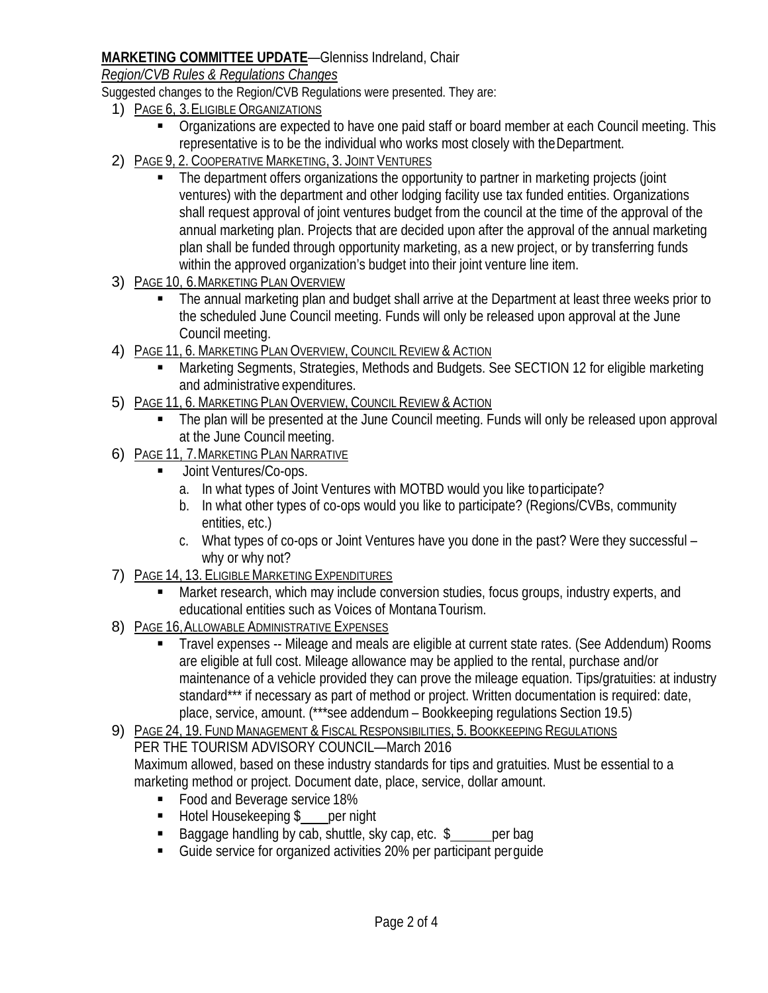## **MARKETING COMMITTEE UPDATE**—Glenniss Indreland, Chair

*Region/CVB Rules & Regulations Changes*

Suggested changes to the Region/CVB Regulations were presented. They are:

- 1) PAGE 6, 3.ELIGIBLE ORGANIZATIONS
	- **Organizations are expected to have one paid staff or board member at each Council meeting. This** representative is to be the individual who works most closely with theDepartment.
- 2) PAGE 9, 2. COOPERATIVE MARKETING, 3. JOINT VENTURES
	- The department offers organizations the opportunity to partner in marketing projects (joint ventures) with the department and other lodging facility use tax funded entities. Organizations shall request approval of joint ventures budget from the council at the time of the approval of the annual marketing plan. Projects that are decided upon after the approval of the annual marketing plan shall be funded through opportunity marketing, as a new project, or by transferring funds within the approved organization's budget into their joint venture line item.
- 3) PAGE 10, 6. MARKETING PLAN OVERVIEW
	- The annual marketing plan and budget shall arrive at the Department at least three weeks prior to the scheduled June Council meeting. Funds will only be released upon approval at the June Council meeting.
- 4) PAGE 11, 6. MARKETING PLAN OVERVIEW, COUNCIL REVIEW & ACTION
	- Marketing Segments, Strategies, Methods and Budgets. See SECTION 12 for eligible marketing and administrative expenditures.
- 5) PAGE 11, 6. MARKETING PLAN OVERVIEW, COUNCIL REVIEW & ACTION
	- The plan will be presented at the June Council meeting. Funds will only be released upon approval at the June Council meeting.
- 6) PAGE 11, 7.MARKETING PLAN NARRATIVE
	- Joint Ventures/Co-ops.
		- a. In what types of Joint Ventures with MOTBD would you like toparticipate?
		- b. In what other types of co-ops would you like to participate? (Regions/CVBs, community entities, etc.)
		- c. What types of co-ops or Joint Ventures have you done in the past? Were they successful why or why not?
- 7) PAGE 14, 13. ELIGIBLE MARKETING EXPENDITURES
	- Market research, which may include conversion studies, focus groups, industry experts, and educational entities such as Voices of MontanaTourism.
- 8) PAGE 16, ALLOWABLE ADMINISTRATIVE EXPENSES
	- Travel expenses -- Mileage and meals are eligible at current state rates. (See Addendum) Rooms are eligible at full cost. Mileage allowance may be applied to the rental, purchase and/or maintenance of a vehicle provided they can prove the mileage equation. Tips/gratuities: at industry standard\*\*\* if necessary as part of method or project. Written documentation is required: date, place, service, amount. (\*\*\*see addendum – Bookkeeping regulations Section 19.5)
- 9) PAGE 24, 19. FUNDMANAGEMENT & FISCAL RESPONSIBILITIES, 5. BOOKKEEPING REGULATIONS

PER THE TOURISM ADVISORY COUNCIL—March 2016 Maximum allowed, based on these industry standards for tips and gratuities. Must be essential to a

- marketing method or project. Document date, place, service, dollar amount.
	- **Food and Beverage service 18%**
	- Hotel Housekeeping \$ per night
	- Baggage handling by cab, shuttle, sky cap, etc.  $\frac{1}{2}$  per bag
	- Guide service for organized activities 20% per participant perguide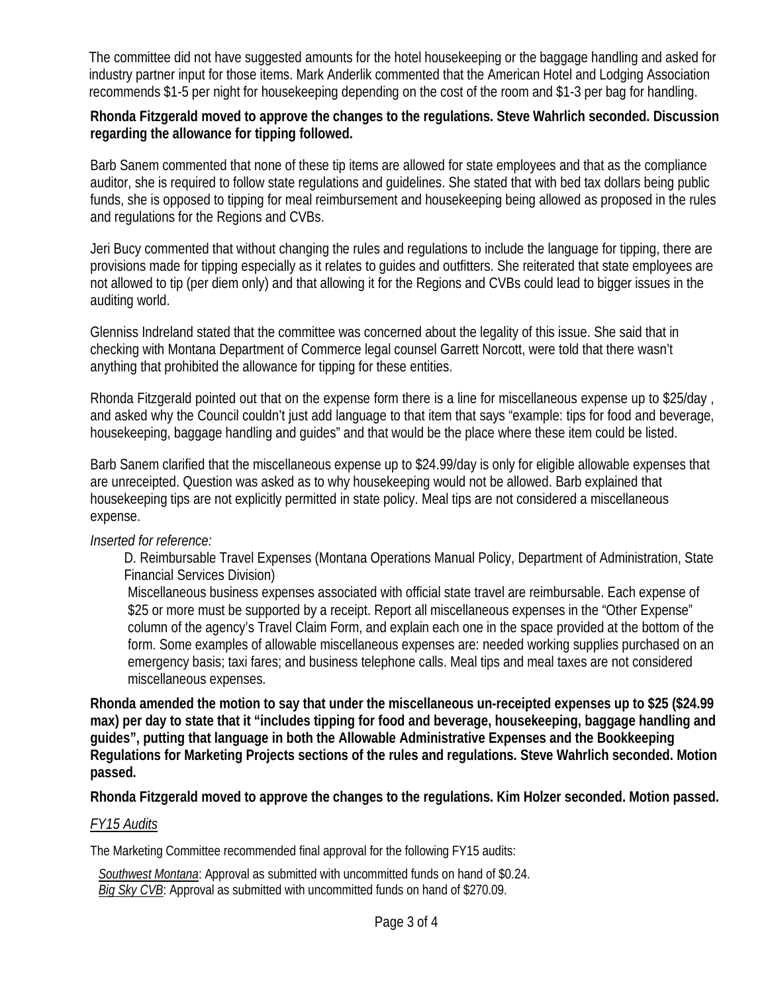The committee did not have suggested amounts for the hotel housekeeping or the baggage handling and asked for industry partner input for those items. Mark Anderlik commented that the American Hotel and Lodging Association recommends \$1-5 per night for housekeeping depending on the cost of the room and \$1-3 per bag for handling.

#### **Rhonda Fitzgerald moved to approve the changes to the regulations. Steve Wahrlich seconded. Discussion regarding the allowance for tipping followed.**

Barb Sanem commented that none of these tip items are allowed for state employees and that as the compliance auditor, she is required to follow state regulations and guidelines. She stated that with bed tax dollars being public funds, she is opposed to tipping for meal reimbursement and housekeeping being allowed as proposed in the rules and regulations for the Regions and CVBs.

Jeri Bucy commented that without changing the rules and regulations to include the language for tipping, there are provisions made for tipping especially as it relates to guides and outfitters. She reiterated that state employees are not allowed to tip (per diem only) and that allowing it for the Regions and CVBs could lead to bigger issues in the auditing world.

Glenniss Indreland stated that the committee was concerned about the legality of this issue. She said that in checking with Montana Department of Commerce legal counsel Garrett Norcott, were told that there wasn't anything that prohibited the allowance for tipping for these entities.

Rhonda Fitzgerald pointed out that on the expense form there is a line for miscellaneous expense up to \$25/day , and asked why the Council couldn't just add language to that item that says "example: tips for food and beverage, housekeeping, baggage handling and guides" and that would be the place where these item could be listed.

Barb Sanem clarified that the miscellaneous expense up to \$24.99/day is only for eligible allowable expenses that are unreceipted. Question was asked as to why housekeeping would not be allowed. Barb explained that housekeeping tips are not explicitly permitted in state policy. Meal tips are not considered a miscellaneous expense.

#### *Inserted for reference:*

D. Reimbursable Travel Expenses (Montana Operations Manual Policy, Department of Administration, State Financial Services Division)

Miscellaneous business expenses associated with official state travel are reimbursable. Each expense of \$25 or more must be supported by a receipt. Report all miscellaneous expenses in the "Other Expense" column of the agency's Travel Claim Form, and explain each one in the space provided at the bottom of the form. Some examples of allowable miscellaneous expenses are: needed working supplies purchased on an emergency basis; taxi fares; and business telephone calls. Meal tips and meal taxes are not considered miscellaneous expenses.

**Rhonda amended the motion to say that under the miscellaneous un-receipted expenses up to \$25 (\$24.99 max) per day to state that it "includes tipping for food and beverage, housekeeping, baggage handling and guides", putting that language in both the Allowable Administrative Expenses and the Bookkeeping Regulations for Marketing Projects sections of the rules and regulations. Steve Wahrlich seconded. Motion passed.**

**Rhonda Fitzgerald moved to approve the changes to the regulations. Kim Holzer seconded. Motion passed.**

#### *FY15 Audits*

The Marketing Committee recommended final approval for the following FY15 audits:

 *Southwest Montana*: Approval as submitted with uncommitted funds on hand of \$0.24.  *Big Sky CVB*: Approval as submitted with uncommitted funds on hand of \$270.09.